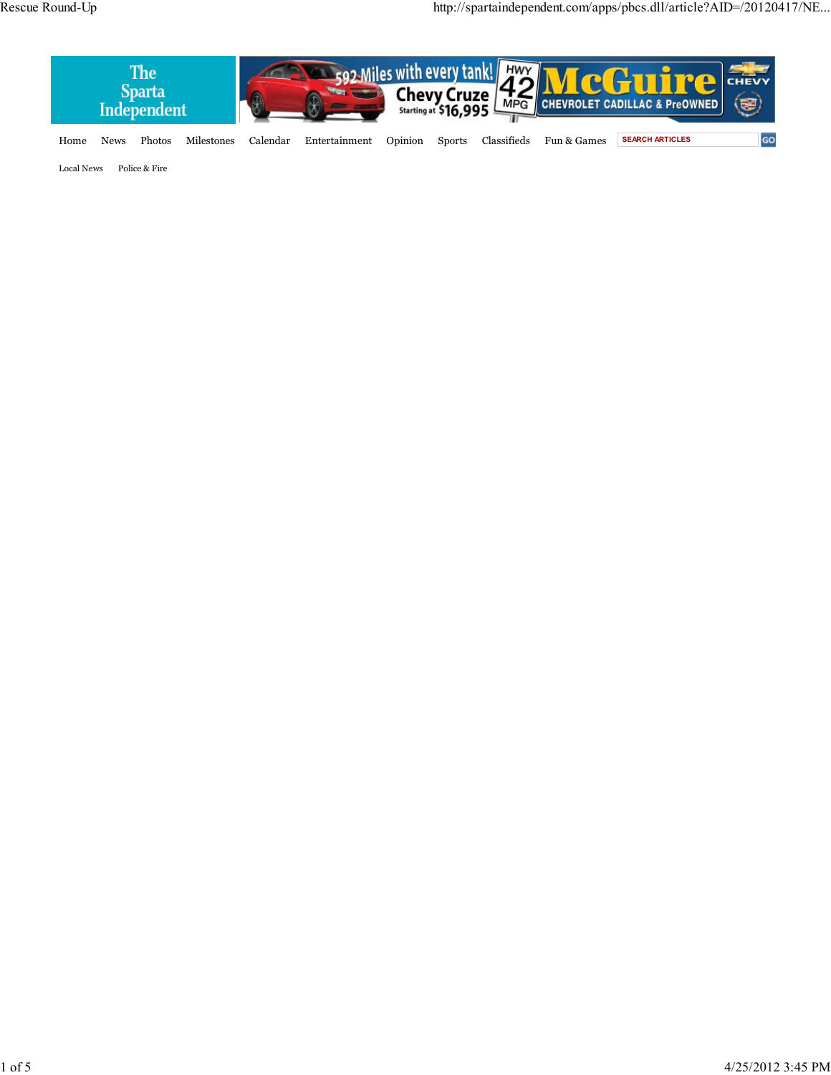

Local News Police & Fire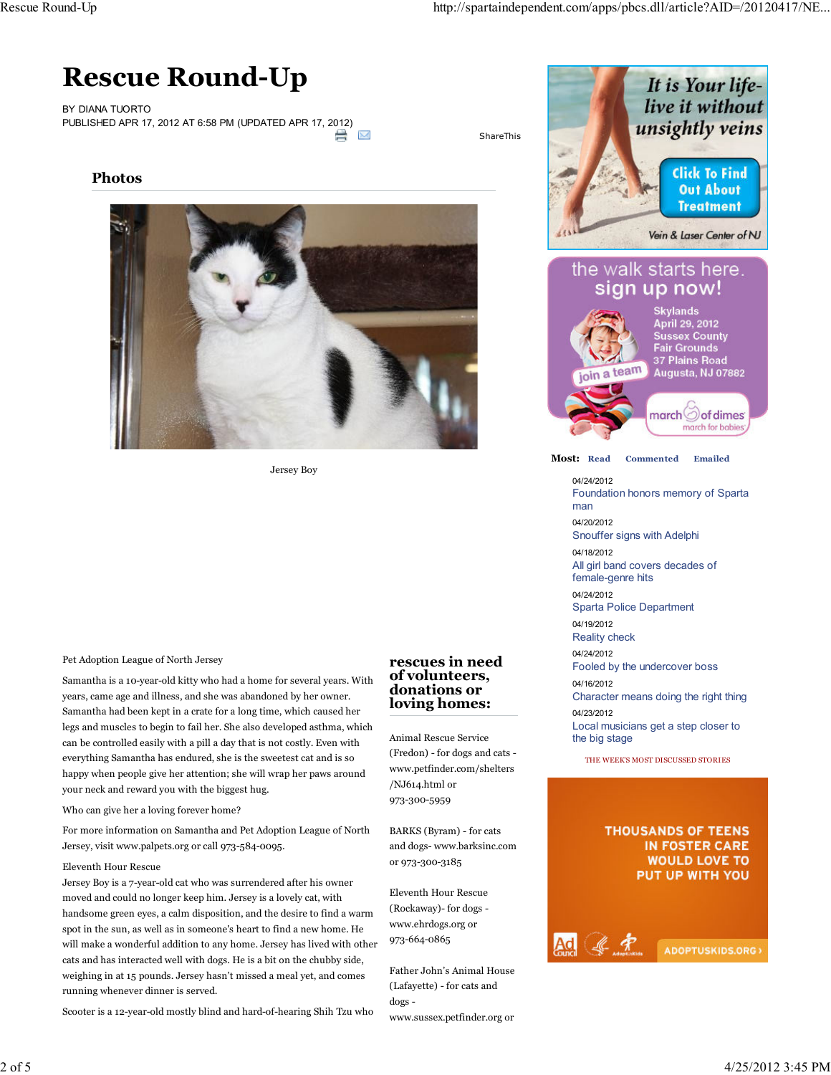# **Rescue Round-Up**

BY DIANA TUORTO PUBLISHED APR 17, 2012 AT 6:58 PM (UPDATED APR 17, 2012) ⇔



ShareThis

**Photos**



Jersey Boy

### Pet Adoption League of North Jersey

Samantha is a 10-year-old kitty who had a home for several years. With years, came age and illness, and she was abandoned by her owner. Samantha had been kept in a crate for a long time, which caused her legs and muscles to begin to fail her. She also developed asthma, which can be controlled easily with a pill a day that is not costly. Even with everything Samantha has endured, she is the sweetest cat and is so happy when people give her attention; she will wrap her paws around your neck and reward you with the biggest hug.

Who can give her a loving forever home?

For more information on Samantha and Pet Adoption League of North Jersey, visit www.palpets.org or call 973-584-0095.

#### Eleventh Hour Rescue

Jersey Boy is a 7-year-old cat who was surrendered after his owner moved and could no longer keep him. Jersey is a lovely cat, with handsome green eyes, a calm disposition, and the desire to find a warm spot in the sun, as well as in someone's heart to find a new home. He will make a wonderful addition to any home. Jersey has lived with other cats and has interacted well with dogs. He is a bit on the chubby side, weighing in at 15 pounds. Jersey hasn't missed a meal yet, and comes running whenever dinner is served.

Scooter is a 12-year-old mostly blind and hard-of-hearing Shih Tzu who

## **rescues in need of volunteers, donations or loving homes:**

Animal Rescue Service (Fredon) - for dogs and cats www.petfinder.com/shelters /NJ614.html or 973-300-5959

BARKS (Byram) - for cats and dogs- www.barksinc.com or 973-300-3185

Eleventh Hour Rescue (Rockaway)- for dogs www.ehrdogs.org or 973-664-0865

Father John's Animal House (Lafayette) - for cats and dogs -

www.sussex.petfinder.org or



**Most: Read Commented Emailed**

04/24/2012 Foundation honors memory of Sparta man 04/20/2012

Snouffer signs with Adelphi 04/18/2012

All girl band covers decades of female-genre hits

04/24/2012

Sparta Police Department

04/19/2012

Reality check

04/24/2012 Fooled by the undercover boss

Ad 《 宋

04/16/2012 Character means doing the right thing

04/23/2012 Local musicians get a step closer to the big stage

THE WEEK'S MOST DISCUSSED STORIES

# **THOUSANDS OF TEENS** IN FOSTER CARE **WOULD LOVE TO** PUT UP WITH YOU

ADOPTUSKIDS.ORG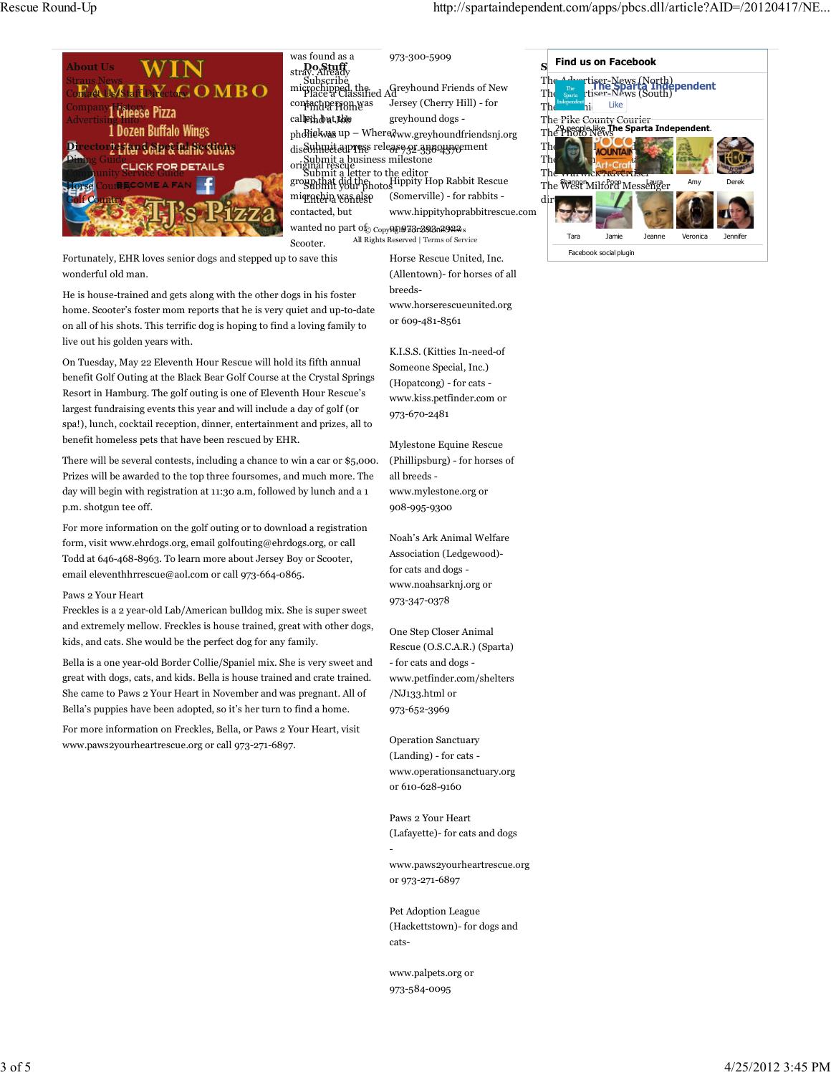

| was found as a                | 973-300-5909                                                                                                                                         |
|-------------------------------|------------------------------------------------------------------------------------------------------------------------------------------------------|
| stray.Afready                 |                                                                                                                                                      |
|                               | Subscribe<br>microchipped, the.<br>Place a Classified Ad                                                                                             |
| con <del>taG</del> apersomwas | Jersey (Cherry Hill) - for                                                                                                                           |
| call@thdbut,Iddo              | greyhound dogs -                                                                                                                                     |
|                               | phdiekwas up – Wheredww.greyhoundfriendsnj.org                                                                                                       |
|                               | disSuhneit aupress release or apportment                                                                                                             |
|                               |                                                                                                                                                      |
|                               | orishbmit a business milestone<br>Commit a letter to the editor<br>group that did the<br>group should be business of the Business Submit your photos |
| miqrafelia vəsiflse           | (Somerville) - for rabbits -                                                                                                                         |
| contacted, but                | www.hippityhoprabbitrescue.com                                                                                                                       |

wanted no part of <sub>Copy</sub>or<sub>i</sub>n 73r29<del>2a.</del>s922s Scooter. All Rights Reserved | Terms of Service

Fortunately, EHR loves senior dogs and stepped up to save this wonderful old man.

He is house-trained and gets along with the other dogs in his foster home. Scooter's foster mom reports that he is very quiet and up-to-date on all of his shots. This terrific dog is hoping to find a loving family to live out his golden years with.

On Tuesday, May 22 Eleventh Hour Rescue will hold its fifth annual benefit Golf Outing at the Black Bear Golf Course at the Crystal Springs Resort in Hamburg. The golf outing is one of Eleventh Hour Rescue's largest fundraising events this year and will include a day of golf (or spa!), lunch, cocktail reception, dinner, entertainment and prizes, all to benefit homeless pets that have been rescued by EHR.

There will be several contests, including a chance to win a car or \$5,000. Prizes will be awarded to the top three foursomes, and much more. The day will begin with registration at 11:30 a.m, followed by lunch and a 1 p.m. shotgun tee off.

For more information on the golf outing or to download a registration form, visit www.ehrdogs.org, email golfouting@ehrdogs.org, or call Todd at 646-468-8963. To learn more about Jersey Boy or Scooter, email eleventhhrrescue@aol.com or call 973-664-0865.

### Paws 2 Your Heart

Freckles is a 2 year-old Lab/American bulldog mix. She is super sweet and extremely mellow. Freckles is house trained, great with other dogs, kids, and cats. She would be the perfect dog for any family.

Bella is a one year-old Border Collie/Spaniel mix. She is very sweet and great with dogs, cats, and kids. Bella is house trained and crate trained. She came to Paws 2 Your Heart in November and was pregnant. All of Bella's puppies have been adopted, so it's her turn to find a home.

For more information on Freckles, Bella, or Paws 2 Your Heart, visit www.paws2yourheartrescue.org or call 973-271-6897.

Horse Rescue United, Inc. (Allentown)- for horses of all breedswww.horserescueunited.org or 609-481-8561

K.I.S.S. (Kitties In-need-of Someone Special, Inc.) (Hopatcong) - for cats www.kiss.petfinder.com or 973-670-2481

Mylestone Equine Rescue (Phillipsburg) - for horses of all breeds www.mylestone.org or 908-995-9300

Noah's Ark Animal Welfare Association (Ledgewood) for cats and dogs www.noahsarknj.org or 973-347-0378

One Step Closer Animal Rescue (O.S.C.A.R.) (Sparta) - for cats and dogs www.petfinder.com/shelters /NJ133.html or 973-652-3969

Operation Sanctuary (Landing) - for cats www.operationsanctuary.org or 610-628-9160

Paws 2 Your Heart (Lafayette)- for cats and dogs

www.paws2yourheartrescue.org or 973-271-6897

Pet Adoption League (Hackettstown)- for dogs and cats-

www.palpets.org or 973-584-0095

-



Facebook social plugin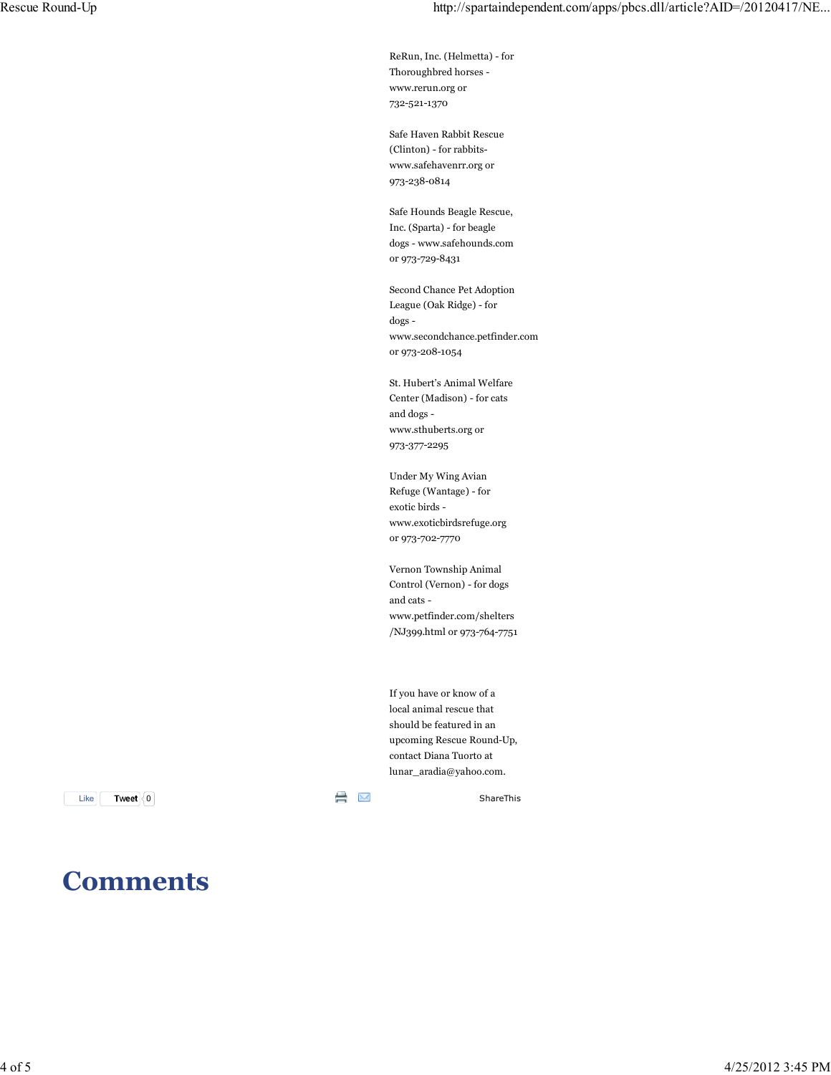ReRun, Inc. (Helmetta) - for Thoroughbred horses www.rerun.org or 732-521-1370

Safe Haven Rabbit Rescue (Clinton) - for rabbitswww.safehavenrr.org or 973-238-0814

Safe Hounds Beagle Rescue, Inc. (Sparta) - for beagle dogs - www.safehounds.com or 973-729-8431

Second Chance Pet Adoption League (Oak Ridge) - for dogs www.secondchance.petfinder.com or 973-208-1054

St. Hubert's Animal Welfare Center (Madison) - for cats and dogs www.sthuberts.org or 973-377-2295

Under My Wing Avian Refuge (Wantage) - for exotic birds www.exoticbirdsrefuge.org or 973-702-7770

Vernon Township Animal Control (Vernon) - for dogs and cats www.petfinder.com/shelters /NJ399.html or 973-764-7751

If you have or know of a local animal rescue that should be featured in an upcoming Rescue Round-Up, contact Diana Tuorto at lunar\_aradia@yahoo.com.

 $Like \fbox{ \textcolor{red}{\textbf{True} \textbf{}}}\ fbox{ \textcolor{red}{\textbf{0}}}$ 

**Tweet** 0

# **Comments**